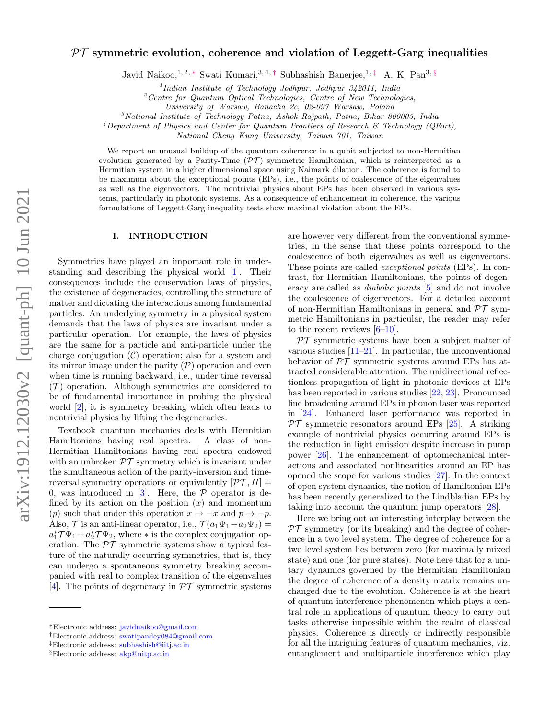# $PT$  symmetric evolution, coherence and violation of Leggett-Garg inequalities

Javid Naikoo, <sup>1, 2, \*</sup> Swati Kumari, <sup>3, 4, †</sup> Subhashish Banerjee, <sup>1, ‡</sup> A. K. Pan<sup>3, §</sup>

1 *Indian Institute of Technology Jodhpur, Jodhpur 342011, India*

<sup>2</sup>*Centre for Quantum Optical Technologies, Centre of New Technologies,*

*University of Warsaw, Banacha 2c, 02-097 Warsaw, Poland*

<sup>3</sup>*National Institute of Technology Patna, Ashok Rajpath, Patna, Bihar 800005, India*

<sup>4</sup>*Department of Physics and Center for Quantum Frontiers of Research & Technology (QFort),*

*National Cheng Kung University, Tainan 701, Taiwan*

We report an unusual buildup of the quantum coherence in a qubit subjected to non-Hermitian evolution generated by a Parity-Time  $(\mathcal{PT})$  symmetric Hamiltonian, which is reinterpreted as a Hermitian system in a higher dimensional space using Naimark dilation. The coherence is found to be maximum about the exceptional points (EPs), i.e., the points of coalescence of the eigenvalues as well as the eigenvectors. The nontrivial physics about EPs has been observed in various systems, particularly in photonic systems. As a consequence of enhancement in coherence, the various formulations of Leggett-Garg inequality tests show maximal violation about the EPs.

## I. INTRODUCTION

Symmetries have played an important role in understanding and describing the physical world [1]. Their consequences include the conservation laws of physics, the existence of degeneracies, controlling the structure of matter and dictating the interactions among fundamental particles. An underlying symmetry in a physical system demands that the laws of physics are invariant under a particular operation. For example, the laws of physics are the same for a particle and anti-particle under the charge conjugation  $(C)$  operation; also for a system and its mirror image under the parity  $(\mathcal{P})$  operation and even when time is running backward, i.e., under time reversal  $(\mathcal{T})$  operation. Although symmetries are considered to be of fundamental importance in probing the physical world [2], it is symmetry breaking which often leads to nontrivial physics by lifting the degeneracies.

Textbook quantum mechanics deals with Hermitian Hamiltonians having real spectra. A class of non-Hermitian Hamiltonians having real spectra endowed with an unbroken  $\mathcal{PT}$  symmetry which is invariant under the simultaneous action of the parity-inversion and timereversal symmetry operations or equivalently  $[\mathcal{PT}, H] =$ 0, was introduced in  $[3]$ . Here, the  $P$  operator is defined by its action on the position  $(x)$  and momentum (p) such that under this operation  $x \to -x$  and  $p \to -p$ . Also,  $\mathcal T$  is an anti-linear operator, i.e.,  $\mathcal T(a_1\Psi_1+a_2\Psi_2)=$  $a_1^* \mathcal{T} \Psi_1 + a_2^* \mathcal{T} \Psi_2$ , where  $*$  is the complex conjugation operation. The  $\mathcal{PT}$  symmetric systems show a typical feature of the naturally occurring symmetries, that is, they can undergo a spontaneous symmetry breaking accompanied with real to complex transition of the eigenvalues [4]. The points of degeneracy in  $\mathcal{PT}$  symmetric systems

are however very different from the conventional symmetries, in the sense that these points correspond to the coalescence of both eigenvalues as well as eigenvectors. These points are called exceptional points (EPs). In contrast, for Hermitian Hamiltonians, the points of degeneracy are called as diabolic points [5] and do not involve the coalescence of eigenvectors. For a detailed account of non-Hermitian Hamiltonians in general and  $\mathcal{PT}$  symmetric Hamiltonians in particular, the reader may refer to the recent reviews  $[6-10]$ .

 $PT$  symmetric systems have been a subject matter of various studies [11–21]. In particular, the unconventional behavior of  $\mathcal{PT}$  symmetric systems around EPs has attracted considerable attention. The unidirectional reflectionless propagation of light in photonic devices at EPs has been reported in various studies [22, 23]. Pronounced line broadening around EPs in phonon laser was reported in [24]. Enhanced laser performance was reported in  $\mathcal{PT}$  symmetric resonators around EPs [25]. A striking example of nontrivial physics occurring around EPs is the reduction in light emission despite increase in pump power [26]. The enhancement of optomechanical interactions and associated nonlinearities around an EP has opened the scope for various studies [27]. In the context of open system dynamics, the notion of Hamiltonian EPs has been recently generalized to the Lindbladian EPs by taking into account the quantum jump operators [28].

Here we bring out an interesting interplay between the  $PT$  symmetry (or its breaking) and the degree of coherence in a two level system. The degree of coherence for a two level system lies between zero (for maximally mixed state) and one (for pure states). Note here that for a unitary dynamics governed by the Hermitian Hamiltonian the degree of coherence of a density matrix remains unchanged due to the evolution. Coherence is at the heart of quantum interference phenomenon which plays a central role in applications of quantum theory to carry out tasks otherwise impossible within the realm of classical physics. Coherence is directly or indirectly responsible for all the intriguing features of quantum mechanics, viz. entanglement and multiparticle interference which play

<sup>∗</sup>Electronic address: javidnaikoo@gmail.com

<sup>†</sup>Electronic address: swatipandey084@gmail.com

<sup>‡</sup>Electronic address: subhashish@iitj.ac.in

<sup>§</sup>Electronic address: akp@nitp.ac.in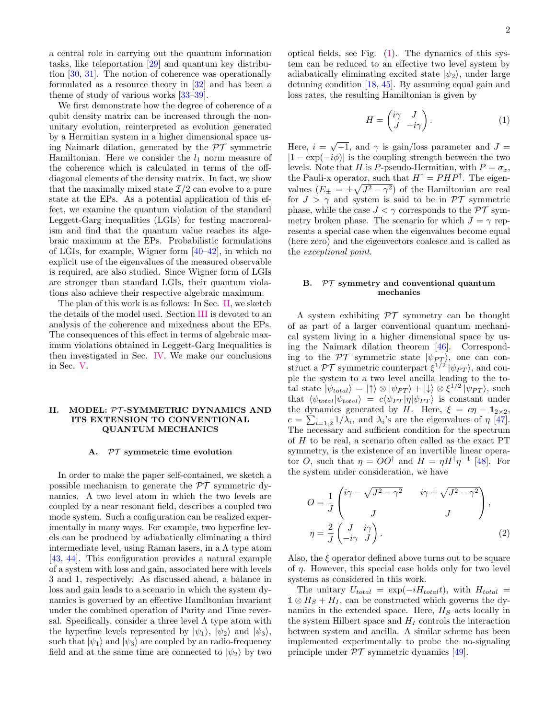a central role in carrying out the quantum information tasks, like teleportation [29] and quantum key distribution [30, 31]. The notion of coherence was operationally formulated as a resource theory in [32] and has been a theme of study of various works [33–39].

We first demonstrate how the degree of coherence of a qubit density matrix can be increased through the nonunitary evolution, reinterpreted as evolution generated by a Hermitian system in a higher dimensional space using Naimark dilation, generated by the  $\mathcal{PT}$  symmetric Hamiltonian. Here we consider the  $l_1$  norm measure of the coherence which is calculated in terms of the offdiagonal elements of the density matrix. In fact, we show that the maximally mixed state  $\mathcal{I}/2$  can evolve to a pure state at the EPs. As a potential application of this effect, we examine the quantum violation of the standard Leggett-Garg inequalities (LGIs) for testing macrorealism and find that the quantum value reaches its algebraic maximum at the EPs. Probabilistic formulations of LGIs, for example, Wigner form [40–42], in which no explicit use of the eigenvalues of the measured observable is required, are also studied. Since Wigner form of LGIs are stronger than standard LGIs, their quantum violations also achieve their respective algebraic maximum.

The plan of this work is as follows: In Sec. II, we sketch the details of the model used. Section III is devoted to an analysis of the coherence and mixedness about the EPs. The consequences of this effect in terms of algebraic maximum violations obtained in Leggett-Garg Inequalities is then investigated in Sec. IV. We make our conclusions in Sec. V.

## II. MODEL: PT -SYMMETRIC DYNAMICS AND ITS EXTENSION TO CONVENTIONAL QUANTUM MECHANICS

#### A. PT symmetric time evolution

In order to make the paper self-contained, we sketch a possible mechanism to generate the  $\mathcal{PT}$  symmetric dynamics. A two level atom in which the two levels are coupled by a near resonant field, describes a coupled two mode system. Such a configuration can be realized experimentally in many ways. For example, two hyperfine levels can be produced by adiabatically eliminating a third intermediate level, using Raman lasers, in a  $\Lambda$  type atom [43, 44]. This configuration provides a natural example of a system with loss and gain, associated here with levels 3 and 1, respectively. As discussed ahead, a balance in loss and gain leads to a scenario in which the system dynamics is governed by an effective Hamiltonian invariant under the combined operation of Parity and Time reversal. Specifically, consider a three level  $\Lambda$  type atom with the hyperfine levels represented by  $|\psi_1\rangle$ ,  $|\psi_2\rangle$  and  $|\psi_3\rangle$ , such that  $|\psi_1\rangle$  and  $|\psi_3\rangle$  are coupled by an radio-frequency field and at the same time are connected to  $|\psi_2\rangle$  by two

optical fields, see Fig. (1). The dynamics of this system can be reduced to an effective two level system by adiabatically eliminating excited state  $|\psi_2\rangle$ , under large detuning condition [18, 45]. By assuming equal gain and loss rates, the resulting Hamiltonian is given by

$$
H = \begin{pmatrix} i\gamma & J \\ J & -i\gamma \end{pmatrix} . \tag{1}
$$

Here,  $i = \sqrt{-1}$ , and  $\gamma$  is gain/loss parameter and  $J =$  $|1 - \exp(-i\phi)|$  is the coupling strength between the two levels. Note that H is P-pseudo-Hermitian, with  $P = \sigma_x$ , the Pauli-x operator, such that  $H^{\dagger} = P H P^{\dagger}$ . The eigenvalues  $(E_{\pm} = \pm \sqrt{J^2 - \gamma^2})$  of the Hamiltonian are real for  $J > \gamma$  and system is said to be in PT symmetric phase, while the case  $J < \gamma$  corresponds to the PT symmetry broken phase. The scenario for which  $J = \gamma$  represents a special case when the eigenvalues become equal (here zero) and the eigenvectors coalesce and is called as the exceptional point.

# B.  $PT$  symmetry and conventional quantum mechanics

A system exhibiting  $\mathcal{PT}$  symmetry can be thought of as part of a larger conventional quantum mechanical system living in a higher dimensional space by using the Naimark dilation theorem [46]. Corresponding to the  $\mathcal{PT}$  symmetric state  $|\psi_{PT}\rangle$ , one can construct a  $\mathcal{PT}$  symmetric counterpart  $\xi^{1/2} |\psi_{PT}\rangle$ , and couple the system to a two level ancilla leading to the total state  $|\psi_{total}\rangle = |\uparrow\rangle \otimes |\psi_{PT}\rangle + |\downarrow\rangle \otimes \xi^{1/2} |\psi_{PT}\rangle$ , such that  $\langle \psi_{total} | \psi_{total} \rangle = c \langle \psi_{PT} | \eta | \psi_{PT} \rangle$  is constant under the dynamics generated by H. Here,  $\xi = c\eta - \mathbb{1}_{2 \times 2}$ ,  $c = \sum_{i=1,2} 1/\lambda_i$ , and  $\lambda_i$ 's are the eigenvalues of  $\eta$  [47]. The necessary and sufficient condition for the spectrum of H to be real, a scenario often called as the exact PT symmetry, is the existence of an invertible linear operator O, such that  $\eta = O O^{\dagger}$  and  $H = \eta H^{\dagger} \eta^{-1}$  [48]. For the system under consideration, we have

$$
O = \frac{1}{J} \begin{pmatrix} i\gamma - \sqrt{J^2 - \gamma^2} & i\gamma + \sqrt{J^2 - \gamma^2} \\ J & J \end{pmatrix},
$$
\n
$$
\eta = \frac{2}{J} \begin{pmatrix} J & i\gamma \\ -i\gamma & J \end{pmatrix}.
$$
\n
$$
(2)
$$

Also, the  $\xi$  operator defined above turns out to be square of  $\eta$ . However, this special case holds only for two level systems as considered in this work.

The unitary  $U_{total} = \exp(-iH_{total}t)$ , with  $H_{total} =$  $\mathbb{1} \otimes H_S + H_I$ , can be constructed which governs the dynamics in the extended space. Here,  $H<sub>S</sub>$  acts locally in the system Hilbert space and  $H_I$  controls the interaction between system and ancilla. A similar scheme has been implemented experimentally to probe the no-signaling principle under  $\mathcal{PT}$  symmetric dynamics [49].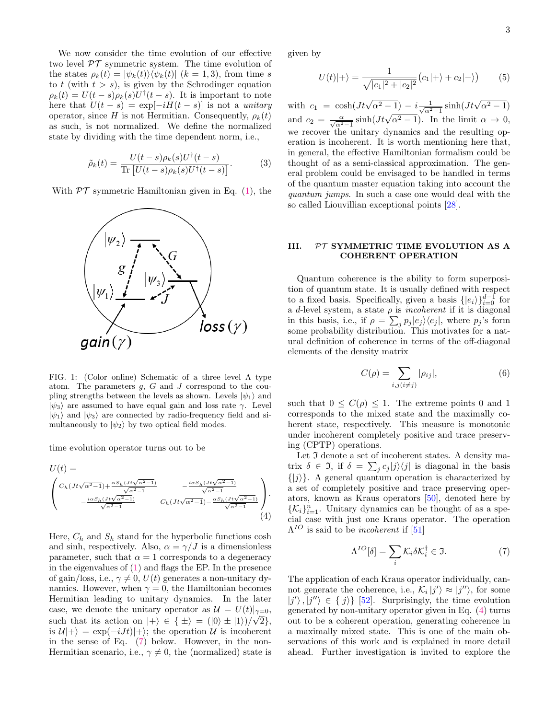We now consider the time evolution of our effective two level  $\mathcal{PT}$  symmetric system. The time evolution of the states  $\rho_k(t) = |\psi_k(t)\rangle \langle \psi_k(t)|$   $(k = 1, 3)$ , from time s to t (with  $t > s$ ), is given by the Schrodinger equation  $\rho_k(t) = U(t-s)\rho_k(s)U^{\dagger}(t-s)$ . It is important to note here that  $U(t - s) = \exp[-iH(t - s)]$  is not a unitary operator, since H is not Hermitian. Consequently,  $\rho_k(t)$ as such, is not normalized. We define the normalized state by dividing with the time dependent norm, i.e.,

$$
\tilde{\rho}_k(t) = \frac{U(t-s)\rho_k(s)U^{\dagger}(t-s)}{\text{Tr}\left[U(t-s)\rho_k(s)U^{\dagger}(t-s)\right]}.
$$
\n(3)

With  $\mathcal{PT}$  symmetric Hamiltonian given in Eq. (1), the



FIG. 1: (Color online) Schematic of a three level Λ type atom. The parameters  $g$ ,  $G$  and  $J$  correspond to the coupling strengths between the levels as shown. Levels  $|\psi_1\rangle$  and  $|\psi_3\rangle$  are assumed to have equal gain and loss rate  $\gamma$ . Level  $|\psi_1\rangle$  and  $|\psi_3\rangle$  are connected by radio-frequency field and simultaneously to  $|\psi_2\rangle$  by two optical field modes.

time evolution operator turns out to be

$$
U(t) = \n\begin{pmatrix}\nC_h (Jt\sqrt{\alpha^2 - 1}) + \frac{\alpha S_h (Jt\sqrt{\alpha^2 - 1})}{\sqrt{\alpha^2 - 1}} & -\frac{i\alpha S_h (Jt\sqrt{\alpha^2 - 1})}{\sqrt{\alpha^2 - 1}} \\
-\frac{i\alpha S_h (Jt\sqrt{\alpha^2 - 1})}{\sqrt{\alpha^2 - 1}} & C_h (Jt\sqrt{\alpha^2 - 1}) - \frac{\alpha S_h (Jt\sqrt{\alpha^2 - 1})}{\sqrt{\alpha^2 - 1}}\n\end{pmatrix}.
$$
\n(4)

Here,  $C_h$  and  $S_h$  stand for the hyperbolic functions cosh and sinh, respectively. Also,  $\alpha = \gamma / J$  is a dimensionless parameter, such that  $\alpha = 1$  corresponds to a degeneracy in the eigenvalues of (1) and flags the EP. In the presence of gain/loss, i.e.,  $\gamma \neq 0$ ,  $U(t)$  generates a non-unitary dynamics. However, when  $\gamma = 0$ , the Hamiltonian becomes Hermitian leading to unitary dynamics. In the later case, we denote the unitary operator as  $\mathcal{U} = U(t)|_{\gamma=0}$ , such that its action on  $|+\rangle \in \{|\pm\rangle = (|0\rangle \pm |1\rangle)/\sqrt{2}\},$ is  $\mathcal{U}|+\rangle = \exp(-iJt)|+\rangle$ ; the operation U is incoherent in the sense of Eq. (7) below. However, in the non-Hermitian scenario, i.e.,  $\gamma \neq 0$ , the (normalized) state is given by

$$
U(t)|+\rangle = \frac{1}{\sqrt{|c_1|^2 + |c_2|^2}}(c_1|+\rangle + c_2|-\rangle)
$$
 (5)

with  $c_1 = \cosh(Jt\sqrt{\alpha^2 - 1}) - i \frac{1}{\sqrt{\alpha^2 - 1}} \sinh(Jt\sqrt{\alpha^2 - 1})$ and  $c_2 = \frac{\alpha}{\sqrt{\alpha^2-1}} \sinh(Jt\sqrt{\alpha^2-1})$ . In the limit  $\alpha \to 0$ , we recover the unitary dynamics and the resulting operation is incoherent. It is worth mentioning here that, in general, the effective Hamiltonian formalism could be thought of as a semi-classical approximation. The general problem could be envisaged to be handled in terms of the quantum master equation taking into account the quantum jumps. In such a case one would deal with the so called Liouvillian exceptional points [28].

## III. PT SYMMETRIC TIME EVOLUTION AS A COHERENT OPERATION

Quantum coherence is the ability to form superposition of quantum state. It is usually defined with respect to a fixed basis. Specifically, given a basis  $\{|e_i\rangle\}_{i=0}^{d-1}$  for a d-level system, a state  $\rho$  is *incoherent* if it is diagonal in this basis, i.e., if  $\rho = \sum_j p_j |e_j\rangle\langle e_j|$ , where  $p_j$ 's form some probability distribution. This motivates for a natural definition of coherence in terms of the off-diagonal elements of the density matrix

$$
C(\rho) = \sum_{i,j \, (i \neq j)} |\rho_{ij}|,\tag{6}
$$

such that  $0 \leq C(\rho) \leq 1$ . The extreme points 0 and 1 corresponds to the mixed state and the maximally coherent state, respectively. This measure is monotonic under incoherent completely positive and trace preserving (CPTP) operations.

Let  $\Im$  denote a set of incoherent states. A density matrix  $\delta \in \mathfrak{I}$ , if  $\delta = \sum_j c_j |j\rangle\langle j|$  is diagonal in the basis  $\{|j\rangle\}$ . A general quantum operation is characterized by a set of completely positive and trace preserving operators, known as Kraus operators [50], denoted here by  $\{\mathcal{K}_i\}_{i=1}^n$ . Unitary dynamics can be thought of as a special case with just one Kraus operator. The operation  $\Lambda^{IO}$  is said to be *incoherent* if [51]

$$
\Lambda^{IO}[\delta] = \sum_{i} \mathcal{K}_{i} \delta \mathcal{K}_{i}^{\dagger} \in \mathfrak{I}.
$$
 (7)

The application of each Kraus operator individually, cannot generate the coherence, i.e.,  $\mathcal{K}_i |j' \rangle \approx |j'' \rangle$ , for some  $|j'\rangle, |j''\rangle \in \{|j\rangle\}$  [52]. Surprisingly, the time evolution generated by non-unitary operator given in Eq. (4) turns out to be a coherent operation, generating coherence in a maximally mixed state. This is one of the main observations of this work and is explained in more detail ahead. Further investigation is invited to explore the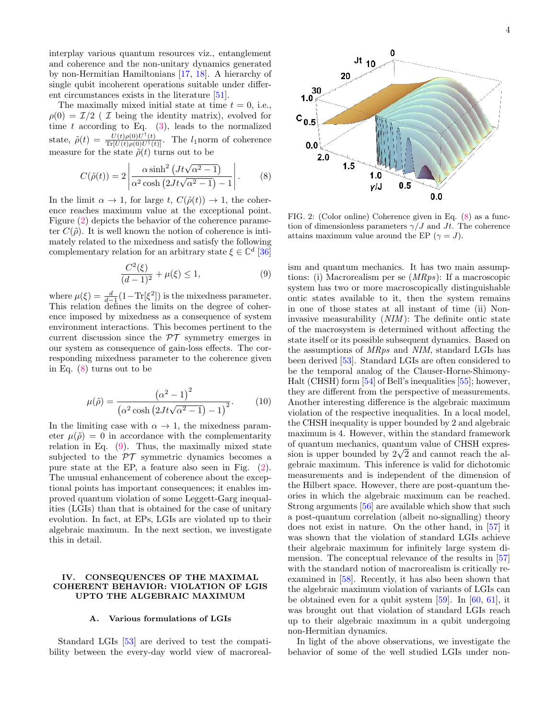interplay various quantum resources viz., entanglement and coherence and the non-unitary dynamics generated by non-Hermitian Hamiltonians [17, 18]. A hierarchy of single qubit incoherent operations suitable under different circumstances exists in the literature [51].

The maximally mixed initial state at time  $t = 0$ , i.e.,  $\rho(0) = \mathcal{I}/2$  ( I being the identity matrix), evolved for time  $t$  according to Eq. (3), leads to the normalized state,  $\tilde{\rho}(t) = \frac{U(t)\rho(0)U^{\dagger}(t)}{\text{Tr}[U(t)\rho(0)U^{\dagger}(t)]}$ . The *l*<sub>1</sub> norm of coherence measure for the state  $\tilde{\rho}(t)$  turns out to be

$$
C(\tilde{\rho}(t)) = 2 \left| \frac{\alpha \sinh^2 \left( Jt\sqrt{\alpha^2 - 1} \right)}{\alpha^2 \cosh \left( 2Jt\sqrt{\alpha^2 - 1} \right) - 1} \right|.
$$
 (8)

In the limit  $\alpha \to 1$ , for large t,  $C(\tilde{\rho}(t)) \to 1$ , the coherence reaches maximum value at the exceptional point. Figure (2) depicts the behavior of the coherence parameter  $C(\tilde{\rho})$ . It is well known the notion of coherence is intimately related to the mixedness and satisfy the following complementary relation for an arbitrary state  $\xi \in \mathbb{C}^d$  [36]

$$
\frac{C^2(\xi)}{(d-1)^2} + \mu(\xi) \le 1,
$$
\n(9)

where  $\mu(\xi) = \frac{d}{d-1}(1-\text{Tr}[\xi^2])$  is the mixedness parameter. This relation defines the limits on the degree of coherence imposed by mixedness as a consequence of system environment interactions. This becomes pertinent to the current discussion since the  $\mathcal{PT}$  symmetry emerges in our system as consequence of gain-loss effects. The corresponding mixedness parameter to the coherence given in Eq. (8) turns out to be

$$
\mu(\tilde{\rho}) = \frac{\left(\alpha^2 - 1\right)^2}{\left(\alpha^2 \cosh\left(2Jt\sqrt{\alpha^2 - 1}\right) - 1\right)^2}.\tag{10}
$$

In the limiting case with  $\alpha \to 1$ , the mixedness parameter  $\mu(\tilde{\rho}) = 0$  in accordance with the complementarity relation in Eq. (9). Thus, the maximally mixed state subjected to the  $\mathcal{PT}$  symmetric dynamics becomes a pure state at the EP, a feature also seen in Fig. (2). The unusual enhancement of coherence about the exceptional points has important consequences; it enables improved quantum violation of some Leggett-Garg inequalities (LGIs) than that is obtained for the case of unitary evolution. In fact, at EPs, LGIs are violated up to their algebraic maximum. In the next section, we investigate this in detail.

### IV. CONSEQUENCES OF THE MAXIMAL COHERENT BEHAVIOR: VIOLATION OF LGIS UPTO THE ALGEBRAIC MAXIMUM

### A. Various formulations of LGIs

Standard LGIs [53] are derived to test the compatibility between the every-day world view of macroreal-



FIG. 2: (Color online) Coherence given in Eq. (8) as a function of dimensionless parameters  $\gamma/J$  and Jt. The coherence attains maximum value around the EP ( $\gamma = J$ ).

ism and quantum mechanics. It has two main assumptions: (i) Macrorealism per se (MRps): If a macroscopic system has two or more macroscopically distinguishable ontic states available to it, then the system remains in one of those states at all instant of time (ii) Noninvasive measurability (NIM ): The definite ontic state of the macrosystem is determined without affecting the state itself or its possible subsequent dynamics. Based on the assumptions of MRps and NIM, standard LGIs has been derived [53]. Standard LGIs are often considered to be the temporal analog of the Clauser-Horne-Shimony-Halt (CHSH) form [54] of Bell's inequalities [55]; however, they are different from the perspective of measurements. Another interesting difference is the algebraic maximum violation of the respective inequalities. In a local model, the CHSH inequality is upper bounded by 2 and algebraic maximum is 4. However, within the standard framework of quantum mechanics, quantum value of CHSH expression is upper bounded by  $2\sqrt{2}$  and cannot reach the algebraic maximum. This inference is valid for dichotomic measurements and is independent of the dimension of the Hilbert space. However, there are post-quantum theories in which the algebraic maximum can be reached. Strong arguments [56] are available which show that such a post-quantum correlation (albeit no-signalling) theory does not exist in nature. On the other hand, in [57] it was shown that the violation of standard LGIs achieve their algebraic maximum for infinitely large system dimension. The conceptual relevance of the results in [57] with the standard notion of macrorealism is critically reexamined in [58]. Recently, it has also been shown that the algebraic maximum violation of variants of LGIs can be obtained even for a qubit system [59]. In [60, 61], it was brought out that violation of standard LGIs reach up to their algebraic maximum in a qubit undergoing non-Hermitian dynamics.

In light of the above observations, we investigate the behavior of some of the well studied LGIs under non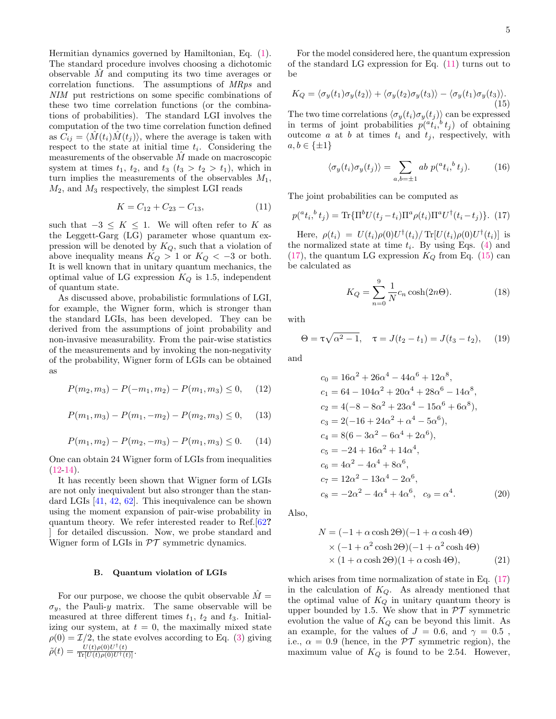Hermitian dynamics governed by Hamiltonian, Eq. (1). The standard procedure involves choosing a dichotomic observable  $\hat{M}$  and computing its two time averages or correlation functions. The assumptions of MRps and NIM put restrictions on some specific combinations of these two time correlation functions (or the combinations of probabilities). The standard LGI involves the computation of the two time correlation function defined as  $C_{ij} = \langle M(t_i)M(t_j) \rangle$ , where the average is taken with respect to the state at initial time  $t_i$ . Considering the measurements of the observable  $M$  made on macroscopic system at times  $t_1$ ,  $t_2$ , and  $t_3$  ( $t_3 > t_2 > t_1$ ), which in turn implies the measurements of the observables  $M_1$ ,  $M_2$ , and  $M_3$  respectively, the simplest LGI reads

$$
K = C_{12} + C_{23} - C_{13}, \t\t(11)
$$

such that  $-3 \leq K \leq 1$ . We will often refer to K as the Leggett-Garg (LG) parameter whose quantum expression will be denoted by  $K_Q$ , such that a violation of above inequality means  $K_Q > 1$  or  $K_Q < -3$  or both. It is well known that in unitary quantum mechanics, the optimal value of LG expression  $K_Q$  is 1.5, independent of quantum state.

As discussed above, probabilistic formulations of LGI, for example, the Wigner form, which is stronger than the standard LGIs, has been developed. They can be derived from the assumptions of joint probability and non-invasive measurability. From the pair-wise statistics of the measurements and by invoking the non-negativity of the probability, Wigner form of LGIs can be obtained as

$$
P(m_2, m_3) - P(-m_1, m_2) - P(m_1, m_3) \le 0, \quad (12)
$$

$$
P(m_1, m_3) - P(m_1, -m_2) - P(m_2, m_3) \le 0, \quad (13)
$$

$$
P(m_1, m_2) - P(m_2, -m_3) - P(m_1, m_3) \le 0. \tag{14}
$$

One can obtain 24 Wigner form of LGIs from inequalities  $(12-14).$ 

It has recently been shown that Wigner form of LGIs are not only inequivalent but also stronger than the standard LGIs [41, 42, 62]. This inequivalence can be shown using the moment expansion of pair-wise probability in quantum theory. We refer interested reader to Ref.[62? for detailed discussion. Now, we probe standard and Wigner form of LGIs in  $\mathcal{PT}$  symmetric dynamics.

#### B. Quantum violation of LGIs

For our purpose, we choose the qubit observable  $M =$  $\sigma_y$ , the Pauli-y matrix. The same observable will be measured at three different times  $t_1$ ,  $t_2$  and  $t_3$ . Initializing our system, at  $t = 0$ , the maximally mixed state  $\rho(0) = \mathcal{I}/2$ , the state evolves according to Eq. (3) giving  $\tilde{\rho}(t) = \frac{U(t)\rho(0)U^{\dagger}(t)}{\text{Tr}[U(t)\rho(0)U^{\dagger}(t)]}.$ 

For the model considered here, the quantum expression of the standard LG expression for Eq. (11) turns out to be

$$
K_Q = \langle \sigma_y(t_1)\sigma_y(t_2)\rangle + \langle \sigma_y(t_2)\sigma_y(t_3)\rangle - \langle \sigma_y(t_1)\sigma_y(t_3)\rangle.
$$
\n(15)

The two time correlations  $\langle \sigma_y(t_i) \sigma_y(t_j) \rangle$  can be expressed in terms of joint probabilities  $p({}^a t_i, {}^b t_j)$  of obtaining outcome a at b at times  $t_i$  and  $t_j$ , respectively, with  $a, b \in \{\pm 1\}$ 

$$
\langle \sigma_y(t_i)\sigma_y(t_j)\rangle = \sum_{a,b=\pm 1} ab \ p({}^a t_i,{}^b t_j). \tag{16}
$$

The joint probabilities can be computed as

$$
p({}^{a}t_{i}, {}^{b}t_{j}) = \text{Tr}\{\Pi^{b}U(t_{j}-t_{i})\Pi^{a}\rho(t_{i})\Pi^{a}U^{\dagger}(t_{i}-t_{j})\}. (17)
$$

Here,  $\rho(t_i) = U(t_i) \rho(0) U^{\dagger}(t_i) / \operatorname{Tr}[U(t_i) \rho(0) U^{\dagger}(t_i)]$  is the normalized state at time  $t_i$ . By using Eqs. (4) and  $(17)$ , the quantum LG expression  $K_Q$  from Eq.  $(15)$  can be calculated as

$$
K_Q = \sum_{n=0}^{9} \frac{1}{N} c_n \cosh(2n\Theta).
$$
 (18)

with

$$
\Theta = \tau \sqrt{\alpha^2 - 1}, \quad \tau = J(t_2 - t_1) = J(t_3 - t_2), \quad (19)
$$

and

$$
c_0 = 16\alpha^2 + 26\alpha^4 - 44\alpha^6 + 12\alpha^8,
$$
  
\n
$$
c_1 = 64 - 104\alpha^2 + 20\alpha^4 + 28\alpha^6 - 14\alpha^8,
$$
  
\n
$$
c_2 = 4(-8 - 8\alpha^2 + 23\alpha^4 - 15\alpha^6 + 6\alpha^8),
$$
  
\n
$$
c_3 = 2(-16 + 24\alpha^2 + \alpha^4 - 5\alpha^6),
$$
  
\n
$$
c_4 = 8(6 - 3\alpha^2 - 6\alpha^4 + 2\alpha^6),
$$
  
\n
$$
c_5 = -24 + 16\alpha^2 + 14\alpha^4,
$$
  
\n
$$
c_6 = 4\alpha^2 - 4\alpha^4 + 8\alpha^6,
$$
  
\n
$$
c_7 = 12\alpha^2 - 13\alpha^4 - 2\alpha^6,
$$
  
\n
$$
c_8 = -2\alpha^2 - 4\alpha^4 + 4\alpha^6, \quad c_9 = \alpha^4.
$$
\n(20)

Also,

$$
N = (-1 + \alpha \cosh 2\Theta)(-1 + \alpha \cosh 4\Theta)
$$
  
×  $(-1 + \alpha^2 \cosh 2\Theta)(-1 + \alpha^2 \cosh 4\Theta)$   
×  $(1 + \alpha \cosh 2\Theta)(1 + \alpha \cosh 4\Theta),$  (21)

which arises from time normalization of state in Eq.  $(17)$ in the calculation of  $K_Q$ . As already mentioned that the optimal value of  $K_Q$  in unitary quantum theory is upper bounded by 1.5. We show that in  $\mathcal{PT}$  symmetric evolution the value of  $K_Q$  can be beyond this limit. As an example, for the values of  $J = 0.6$ , and  $\gamma = 0.5$ , i.e.,  $\alpha = 0.9$  (hence, in the  $\mathcal{PT}$  symmetric region), the maximum value of  $K_Q$  is found to be 2.54. However,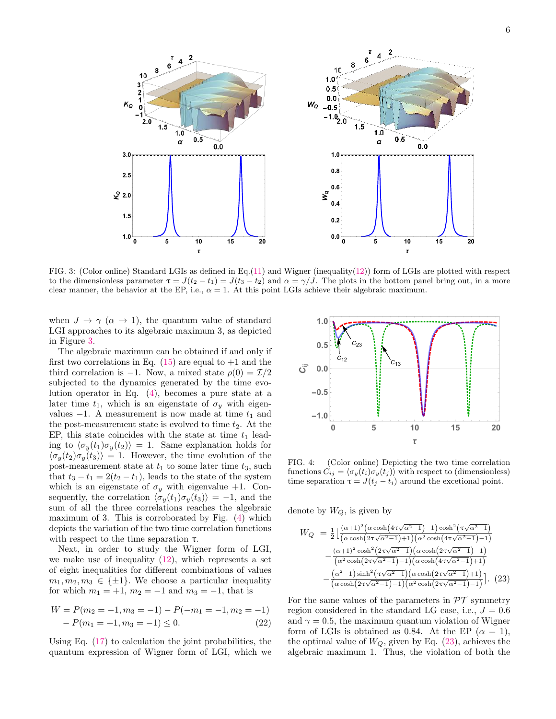

FIG. 3: (Color online) Standard LGIs as defined in Eq.(11) and Wigner (inequality(12)) form of LGIs are plotted with respect to the dimensionless parameter  $\tau = J(t_2 - t_1) = J(t_3 - t_2)$  and  $\alpha = \gamma/J$ . The plots in the bottom panel bring out, in a more clear manner, the behavior at the EP, i.e.,  $\alpha = 1$ . At this point LGIs achieve their algebraic maximum.

when  $J \to \gamma$  ( $\alpha \to 1$ ), the quantum value of standard LGI approaches to its algebraic maximum 3, as depicted in Figure 3.

The algebraic maximum can be obtained if and only if first two correlations in Eq.  $(15)$  are equal to  $+1$  and the third correlation is −1. Now, a mixed state  $\rho(0) = \mathcal{I}/2$ subjected to the dynamics generated by the time evolution operator in Eq. (4), becomes a pure state at a later time  $t_1$ , which is an eigenstate of  $\sigma_y$  with eigenvalues  $-1$ . A measurement is now made at time  $t_1$  and the post-measurement state is evolved to time  $t_2$ . At the EP, this state coincides with the state at time  $t_1$  leading to  $\langle \sigma_y(t_1)\sigma_y(t_2)\rangle = 1$ . Same explanation holds for  $\langle \sigma_y(t_2) \sigma_y(t_3) \rangle = 1$ . However, the time evolution of the post-measurement state at  $t_1$  to some later time  $t_3$ , such that  $t_3 - t_1 = 2(t_2 - t_1)$ , leads to the state of the system which is an eigenstate of  $\sigma_y$  with eigenvalue +1. Consequently, the correlation  $\langle \sigma_y(t_1) \sigma_y(t_3) \rangle = -1$ , and the sum of all the three correlations reaches the algebraic maximum of 3. This is corroborated by Fig. (4) which depicts the variation of the two time correlation functions with respect to the time separation  $\tau$ .

Next, in order to study the Wigner form of LGI, we make use of inequality  $(12)$ , which represents a set of eight inequalities for different combinations of values  $m_1, m_2, m_3 \in {\pm 1}$ . We choose a particular inequality for which  $m_1 = +1$ ,  $m_2 = -1$  and  $m_3 = -1$ , that is

$$
W = P(m_2 = -1, m_3 = -1) - P(-m_1 = -1, m_2 = -1) - P(m_1 = +1, m_3 = -1) \le 0.
$$
 (22)

Using Eq. (17) to calculation the joint probabilities, the quantum expression of Wigner form of LGI, which we



FIG. 4: (Color online) Depicting the two time correlation functions  $C_{ij} = \langle \sigma_y(t_i) \sigma_y(t_j) \rangle$  with respect to (dimensionless) time separation  $\tau = J(t_j - t_i)$  around the excetional point.

denote by  $W_Q$ , is given by

$$
W_Q = \frac{1}{2} \left[ \frac{(\alpha + 1)^2 (\alpha \cosh(4\tau \sqrt{\alpha^2 - 1}) - 1) \cosh^2(\tau \sqrt{\alpha^2 - 1})}{(\alpha \cosh(2\tau \sqrt{\alpha^2 - 1}) + 1)(\alpha^2 \cosh(4\tau \sqrt{\alpha^2 - 1}) - 1)} - \frac{(\alpha + 1)^2 \cosh^2(2\tau \sqrt{\alpha^2 - 1})(\alpha \cosh(2\tau \sqrt{\alpha^2 - 1}) - 1)}{(\alpha^2 \cosh(2\tau \sqrt{\alpha^2 - 1}) - 1)(\alpha \cosh(4\tau \sqrt{\alpha^2 - 1}) + 1)} - \frac{(\alpha^2 - 1) \sinh^2(\tau \sqrt{\alpha^2 - 1})(\alpha \cosh(2\tau \sqrt{\alpha^2 - 1}) + 1)}{(\alpha \cosh(2\tau \sqrt{\alpha^2 - 1}) - 1)(\alpha^2 \cosh(2\tau \sqrt{\alpha^2 - 1}) - 1)} \right]. (23)
$$

For the same values of the parameters in  $\mathcal{PT}$  symmetry region considered in the standard LG case, i.e.,  $J = 0.6$ and  $\gamma = 0.5$ , the maximum quantum violation of Wigner form of LGIs is obtained as 0.84. At the EP  $(\alpha = 1)$ , the optimal value of  $W_Q$ , given by Eq. (23), achieves the algebraic maximum 1. Thus, the violation of both the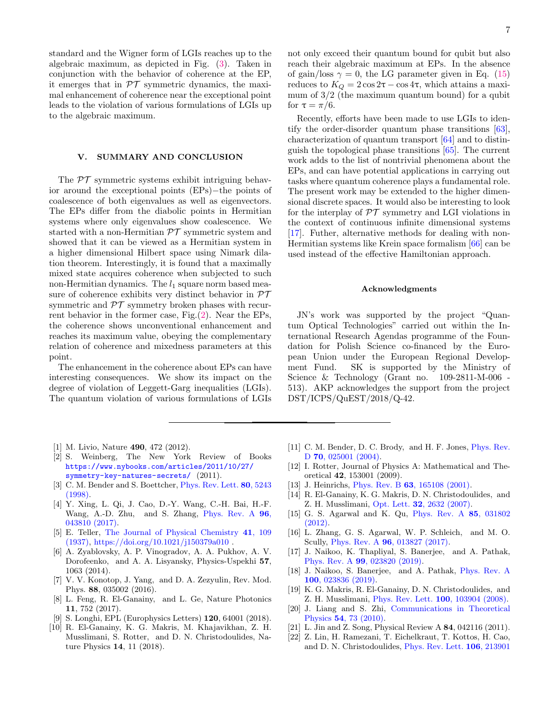standard and the Wigner form of LGIs reaches up to the algebraic maximum, as depicted in Fig. (3). Taken in conjunction with the behavior of coherence at the EP, it emerges that in  $\mathcal{PT}$  symmetric dynamics, the maximal enhancement of coherence near the exceptional point leads to the violation of various formulations of LGIs up to the algebraic maximum.

### V. SUMMARY AND CONCLUSION

The  $\mathcal{PT}$  symmetric systems exhibit intriguing behavior around the exceptional points (EPs)−the points of coalescence of both eigenvalues as well as eigenvectors. The EPs differ from the diabolic points in Hermitian systems where only eigenvalues show coalescence. We started with a non-Hermitian  $\mathcal{PT}$  symmetric system and showed that it can be viewed as a Hermitian system in a higher dimensional Hilbert space using Nimark dilation theorem. Interestingly, it is found that a maximally mixed state acquires coherence when subjected to such non-Hermitian dynamics. The  $l_1$  square norm based measure of coherence exhibits very distinct behavior in  $\mathcal{PT}$ symmetric and  $\mathcal{PT}$  symmetry broken phases with recurrent behavior in the former case, Fig. $(2)$ . Near the EPs, the coherence shows unconventional enhancement and reaches its maximum value, obeying the complementary relation of coherence and mixedness parameters at this point.

The enhancement in the coherence about EPs can have interesting consequences. We show its impact on the degree of violation of Leggett-Garg inequalities (LGIs). The quantum violation of various formulations of LGIs

- [1] M. Livio, Nature 490, 472 (2012).
- [2] S. Weinberg, The New York Review of Books https://www.nybooks.com/articles/2011/10/27/ symmetry-key-natures-secrets/ (2011).
- [3] C. M. Bender and S. Boettcher, Phys. Rev. Lett. 80, 5243 (1998).
- [4] Y. Xing, L. Qi, J. Cao, D.-Y. Wang, C.-H. Bai, H.-F. Wang, A.-D. Zhu, and S. Zhang, Phys. Rev. A 96, 043810 (2017).
- [5] E. Teller, The Journal of Physical Chemistry 41, 109 (1937), https://doi.org/10.1021/j150379a010 .
- [6] A. Zyablovsky, A. P. Vinogradov, A. A. Pukhov, A. V. Dorofeenko, and A. A. Lisyansky, Physics-Uspekhi 57, 1063 (2014).
- [7] V. V. Konotop, J. Yang, and D. A. Zezyulin, Rev. Mod. Phys. 88, 035002 (2016).
- [8] L. Feng, R. El-Ganainy, and L. Ge, Nature Photonics 11, 752 (2017).
- [9] S. Longhi, EPL (Europhysics Letters) 120, 64001 (2018).
- [10] R. El-Ganainy, K. G. Makris, M. Khajavikhan, Z. H. Musslimani, S. Rotter, and D. N. Christodoulides, Nature Physics 14, 11 (2018).

Recently, efforts have been made to use LGIs to identify the order-disorder quantum phase transitions [63], characterization of quantum transport [64] and to distinguish the topological phase transitions [65]. The current work adds to the list of nontrivial phenomena about the EPs, and can have potential applications in carrying out tasks where quantum coherence plays a fundamental role. The present work may be extended to the higher dimensional discrete spaces. It would also be interesting to look for the interplay of  $\mathcal{PT}$  symmetry and LGI violations in the context of continuous infinite dimensional systems [17]. Futher, alternative methods for dealing with non-Hermitian systems like Krein space formalism [66] can be used instead of the effective Hamiltonian approach.

for  $\tau = \pi/6$ .

#### Acknowledgments

JN's work was supported by the project "Quantum Optical Technologies" carried out within the International Research Agendas programme of the Foundation for Polish Science co-financed by the European Union under the European Regional Development Fund. SK is supported by the Ministry of Science & Technology (Grant no. 109-2811-M-006 - 513). AKP acknowledges the support from the project DST/ICPS/QuEST/2018/Q-42.

- [11] C. M. Bender, D. C. Brody, and H. F. Jones, *Phys. Rev.* D **70**, 025001 (2004).
- [12] I. Rotter, Journal of Physics A: Mathematical and Theoretical 42, 153001 (2009).
- [13] J. Heinrichs, *Phys. Rev. B* 63, 165108 (2001).
- [14] R. El-Ganainy, K. G. Makris, D. N. Christodoulides, and Z. H. Musslimani, Opt. Lett. 32, 2632 (2007).
- [15] G. S. Agarwal and K. Qu, Phys. Rev. A 85, 031802 (2012).
- [16] L. Zhang, G. S. Agarwal, W. P. Schleich, and M. O. Scully, Phys. Rev. A 96, 013827 (2017).
- [17] J. Naikoo, K. Thapliyal, S. Banerjee, and A. Pathak, Phys. Rev. A 99, 023820 (2019).
- [18] J. Naikoo, S. Banerjee, and A. Pathak, Phys. Rev. A 100, 023836 (2019).
- [19] K. G. Makris, R. El-Ganainy, D. N. Christodoulides, and Z. H. Musslimani, Phys. Rev. Lett. 100, 103904 (2008).
- [20] J. Liang and S. Zhi, Communications in Theoretical Physics 54, 73 (2010).
- [21] L. Jin and Z. Song, Physical Review A 84, 042116 (2011).
- [22] Z. Lin, H. Ramezani, T. Eichelkraut, T. Kottos, H. Cao, and D. N. Christodoulides, Phys. Rev. Lett. 106, 213901